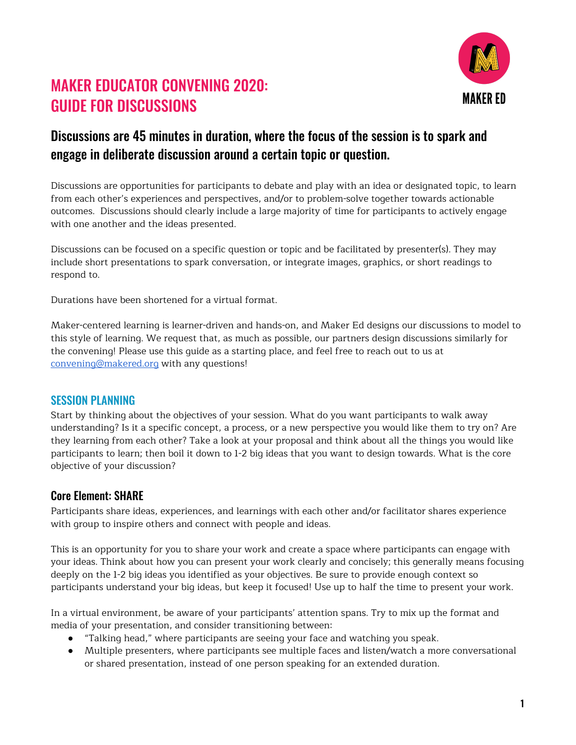

# MAKER EDUCATOR CONVENING 2020: GUIDE FOR DISCUSSIONS

## Discussions are 45 minutes in duration, where the focus of the session is to spark and engage in deliberate discussion around a certain topic or question.

Discussions are opportunities for participants to debate and play with an idea or designated topic, to learn from each other's experiences and perspectives, and/or to problem-solve together towards actionable outcomes. Discussions should clearly include a large majority of time for participants to actively engage with one another and the ideas presented.

Discussions can be focused on a specific question or topic and be facilitated by presenter(s). They may include short presentations to spark conversation, or integrate images, graphics, or short readings to respond to.

Durations have been shortened for a virtual format.

Maker-centered learning is learner-driven and hands-on, and Maker Ed designs our discussions to model to this style of learning. We request that, as much as possible, our partners design discussions similarly for the convening! Please use this guide as a starting place, and feel free to reach out to us at [convening@makered.org](mailto:convening@makered.org) with any questions!

#### SESSION PLANNING

Start by thinking about the objectives of your session. What do you want participants to walk away understanding? Is it a specific concept, a process, or a new perspective you would like them to try on? Are they learning from each other? Take a look at your proposal and think about all the things you would like participants to learn; then boil it down to 1-2 big ideas that you want to design towards. What is the core objective of your discussion?

## Core Element: SHARE

Participants share ideas, experiences, and learnings with each other and/or facilitator shares experience with group to inspire others and connect with people and ideas.

This is an opportunity for you to share your work and create a space where participants can engage with your ideas. Think about how you can present your work clearly and concisely; this generally means focusing deeply on the 1-2 big ideas you identified as your objectives. Be sure to provide enough context so participants understand your big ideas, but keep it focused! Use up to half the time to present your work.

In a virtual environment, be aware of your participants' attention spans. Try to mix up the format and media of your presentation, and consider transitioning between:

- "Talking head," where participants are seeing your face and watching you speak.
- Multiple presenters, where participants see multiple faces and listen/watch a more conversational or shared presentation, instead of one person speaking for an extended duration.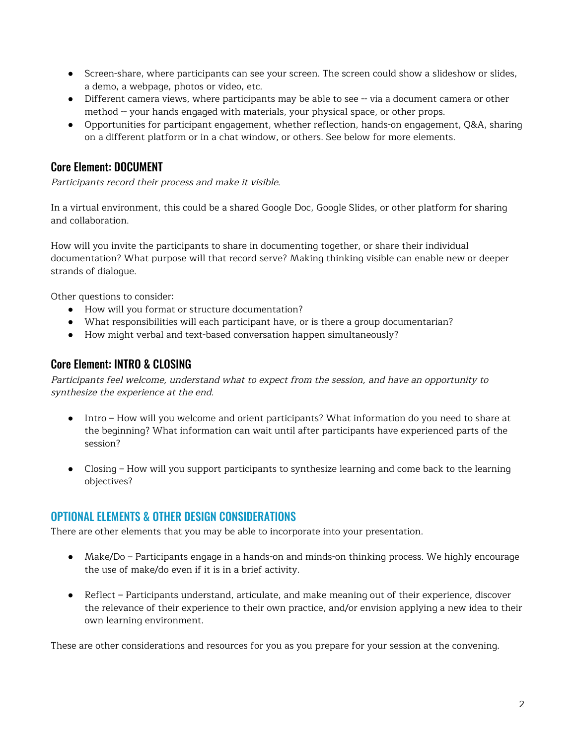- Screen-share, where participants can see your screen. The screen could show a slideshow or slides, a demo, a webpage, photos or video, etc.
- Different camera views, where participants may be able to see -- via a document camera or other method -- your hands engaged with materials, your physical space, or other props.
- Opportunities for participant engagement, whether reflection, hands-on engagement, Q&A, sharing on a different platform or in a chat window, or others. See below for more elements.

## Core Element: DOCUMENT

Participants record their process and make it visible.

In a virtual environment, this could be a shared Google Doc, Google Slides, or other platform for sharing and collaboration.

How will you invite the participants to share in documenting together, or share their individual documentation? What purpose will that record serve? Making thinking visible can enable new or deeper strands of dialogue.

Other questions to consider:

- How will you format or structure documentation?
- What responsibilities will each participant have, or is there a group documentarian?
- How might verbal and text-based conversation happen simultaneously?

#### Core Element: INTRO & CLOSING

Participants feel welcome, understand what to expect from the session, and have an opportunity to synthesize the experience at the end.

- Intro How will you welcome and orient participants? What information do you need to share at the beginning? What information can wait until after participants have experienced parts of the session?
- Closing How will you support participants to synthesize learning and come back to the learning objectives?

## OPTIONAL ELEMENTS & OTHER DESIGN CONSIDERATIONS

There are other elements that you may be able to incorporate into your presentation.

- Make/Do Participants engage in a hands-on and minds-on thinking process. We highly encourage the use of make/do even if it is in a brief activity.
- Reflect Participants understand, articulate, and make meaning out of their experience, discover the relevance of their experience to their own practice, and/or envision applying a new idea to their own learning environment.

These are other considerations and resources for you as you prepare for your session at the convening.